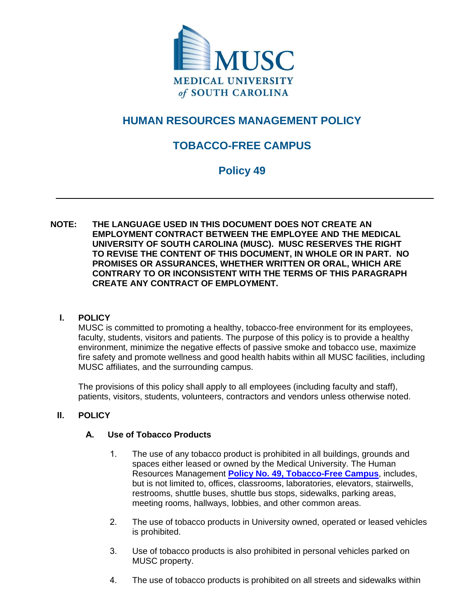

# **HUMAN RESOURCES MANAGEMENT POLICY**

## **TOBACCO-FREE CAMPUS**

## **Policy 49**

**NOTE: THE LANGUAGE USED IN THIS DOCUMENT DOES NOT CREATE AN EMPLOYMENT CONTRACT BETWEEN THE EMPLOYEE AND THE MEDICAL UNIVERSITY OF SOUTH CAROLINA (MUSC). MUSC RESERVES THE RIGHT TO REVISE THE CONTENT OF THIS DOCUMENT, IN WHOLE OR IN PART. NO PROMISES OR ASSURANCES, WHETHER WRITTEN OR ORAL, WHICH ARE CONTRARY TO OR INCONSISTENT WITH THE TERMS OF THIS PARAGRAPH CREATE ANY CONTRACT OF EMPLOYMENT.** 

## **I. POLICY**

MUSC is committed to promoting a healthy, tobacco-free environment for its employees, faculty, students, visitors and patients. The purpose of this policy is to provide a healthy environment, minimize the negative effects of passive smoke and tobacco use, maximize fire safety and promote wellness and good health habits within all MUSC facilities, including MUSC affiliates, and the surrounding campus.

The provisions of this policy shall apply to all employees (including faculty and staff), patients, visitors, students, volunteers, contractors and vendors unless otherwise noted.

## **II. POLICY**

## **A. Use of Tobacco Products**

- 1. The use of any tobacco product is prohibited in all buildings, grounds and spaces either leased or owned by the Medical University. The Human Resources Management **[Policy No. 49, Tobacco-Free Campus](http://horseshoe.musc.edu/~/media/files/hr-files/univ-files/policies/policy49.pdf?la=en)**, includes, but is not limited to, offices, classrooms, laboratories, elevators, stairwells, restrooms, shuttle buses, shuttle bus stops, sidewalks, parking areas, meeting rooms, hallways, lobbies, and other common areas.
- 2. The use of tobacco products in University owned, operated or leased vehicles is prohibited.
- 3. Use of tobacco products is also prohibited in personal vehicles parked on MUSC property.
- 4. The use of tobacco products is prohibited on all streets and sidewalks within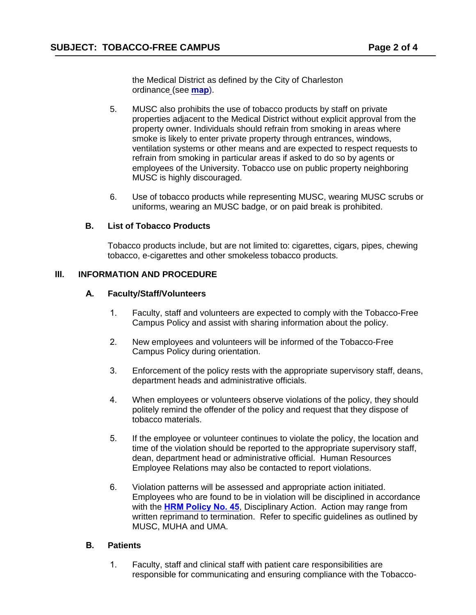the Medical District as defined by the City of Charleston ordi[nance \(](http://horseshoe.musc.edu/~/media/files/clinical-files/support-files/hfs-files/campusmap.pdf?la=en)see **map**).

- 5. MUSC also prohibits the use of tobacco products by staff on private properties adjacent to the Medical District without explicit approval from the property owner. Individuals should refrain from smoking in areas where smoke is likely to enter private property through entrances, windows, ventilation systems or other means and are expected to respect requests to refrain from smoking in particular areas if asked to do so by agents or employees of the University. Tobacco use on public property neighboring MUSC is highly discouraged.
- 6. Use of tobacco products while representing MUSC, wearing MUSC scrubs or uniforms, wearing an MUSC badge, or on paid break is prohibited.

#### **B. List of Tobacco Products**

Tobacco products include, but are not limited to: cigarettes, cigars, pipes, chewing tobacco, e-cigarettes and other smokeless tobacco products.

## **III. INFORMATION AND PROCEDURE**

#### **A. Faculty/Staff/Volunteers**

- 1. Faculty, staff and volunteers are expected to comply with the Tobacco-Free Campus Policy and assist with sharing information about the policy.
- 2. New employees and volunteers will be informed of the Tobacco-Free Campus Policy during orientation.
- 3. Enforcement of the policy rests with the appropriate supervisory staff, deans, department heads and administrative officials.
- 4. When employees or volunteers observe violations of the policy, they should politely remind the offender of the policy and request that they dispose of tobacco materials.
- 5. If the employee or volunteer continues to violate the policy, the location and time of the violation should be reported to the appropriate supervisory staff, dean, department head or administrative official. Human Resources Employee Relations may also be contacted to report violations.
- 6. Violation patterns will be assessed and appropriate action initiated. Employees who are found to be in violation will be disciplined in accordance with the **[HRM Policy No. 45](http://horseshoe.musc.edu/~/media/files/hr-files/univ-files/policies/policy45.pdf?la=en)**, Disciplinary Action. Action may range from written reprimand to termination. Refer to specific guidelines as outlined by MUSC, MUHA and UMA.

#### **B. Patients**

1. Faculty, staff and clinical staff with patient care responsibilities are responsible for communicating and ensuring compliance with the Tobacco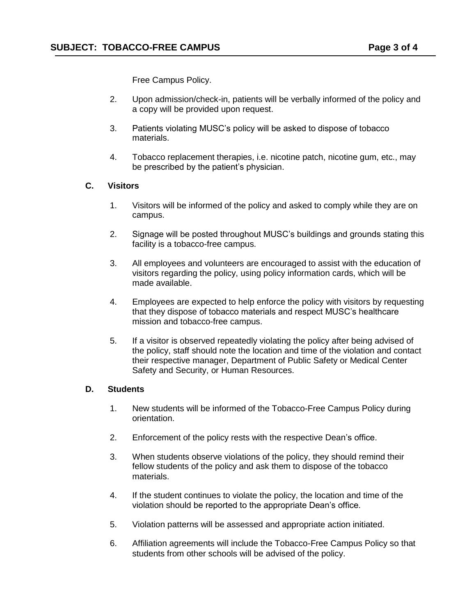Free Campus Policy.

- 2. Upon admission/check-in, patients will be verbally informed of the policy and a copy will be provided upon request.
- 3. Patients violating MUSC's policy will be asked to dispose of tobacco materials.
- 4. Tobacco replacement therapies, i.e. nicotine patch, nicotine gum, etc., may be prescribed by the patient's physician.

#### **C. Visitors**

- 1. Visitors will be informed of the policy and asked to comply while they are on campus.
- 2. Signage will be posted throughout MUSC's buildings and grounds stating this facility is a tobacco-free campus.
- 3. All employees and volunteers are encouraged to assist with the education of visitors regarding the policy, using policy information cards, which will be made available.
- 4. Employees are expected to help enforce the policy with visitors by requesting that they dispose of tobacco materials and respect MUSC's healthcare mission and tobacco-free campus.
- 5. If a visitor is observed repeatedly violating the policy after being advised of the policy, staff should note the location and time of the violation and contact their respective manager, Department of Public Safety or Medical Center Safety and Security, or Human Resources.

#### **D. Students**

- 1. New students will be informed of the Tobacco-Free Campus Policy during orientation.
- 2. Enforcement of the policy rests with the respective Dean's office.
- 3. When students observe violations of the policy, they should remind their fellow students of the policy and ask them to dispose of the tobacco materials.
- 4. If the student continues to violate the policy, the location and time of the violation should be reported to the appropriate Dean's office.
- 5. Violation patterns will be assessed and appropriate action initiated.
- 6. Affiliation agreements will include the Tobacco-Free Campus Policy so that students from other schools will be advised of the policy.